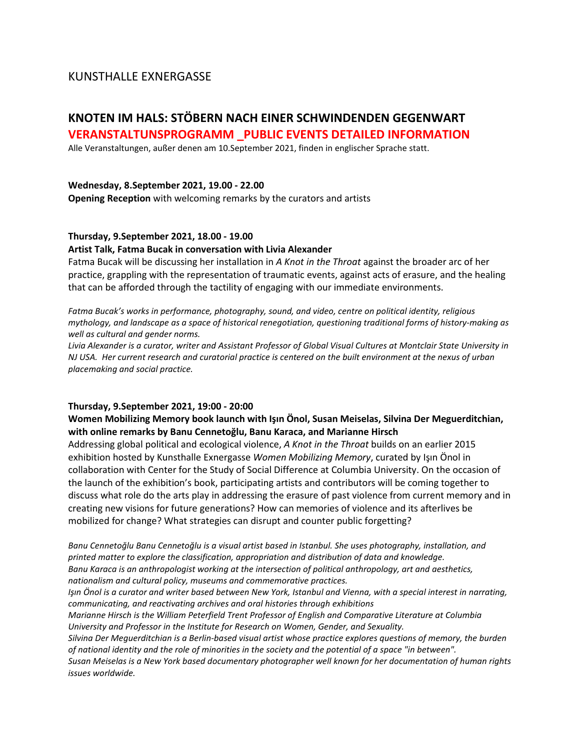# KUNSTHALLE EXNERGASSE

# **KNOTEN IM HALS: STÖBERN NACH EINER SCHWINDENDEN GEGENWART VERANSTALTUNSPROGRAMM \_PUBLIC EVENTS DETAILED INFORMATION**

Alle Veranstaltungen, außer denen am 10.September 2021, finden in englischer Sprache statt.

## **Wednesday, 8.September 2021, 19.00 - 22.00**

**Opening Reception** with welcoming remarks by the curators and artists

## **Thursday, 9.September 2021, 18.00 - 19.00**

## **Artist Talk, Fatma Bucak in conversation with Livia Alexander**

Fatma Bucak will be discussing her installation in *A Knot in the Throat* against the broader arc of her practice, grappling with the representation of traumatic events, against acts of erasure, and the healing that can be afforded through the tactility of engaging with our immediate environments.

*Fatma Bucak's works in performance, photography, sound, and video, centre on political identity, religious mythology, and landscape as a space of historical renegotiation, questioning traditional forms of history-making as well as cultural and gender norms.*

*Livia Alexander is a curator, writer and Assistant Professor of Global Visual Cultures at Montclair State University in NJ USA. Her current research and curatorial practice is centered on the built environment at the nexus of urban placemaking and social practice.*

#### **Thursday, 9.September 2021, 19:00 - 20:00**

# **Women Mobilizing Memory book launch with Işın Önol, Susan Meiselas, Silvina Der Meguerditchian, with online remarks by Banu Cennetoğlu, Banu Karaca, and Marianne Hirsch**

Addressing global political and ecological violence, *A Knot in the Throat* builds on an earlier 2015 exhibition hosted by Kunsthalle Exnergasse *Women Mobilizing Memory*, curated by Işın Önol in collaboration with Center for the Study of Social Difference at Columbia University. On the occasion of the launch of the exhibition's book, participating artists and contributors will be coming together to discuss what role do the arts play in addressing the erasure of past violence from current memory and in creating new visions for future generations? How can memories of violence and its afterlives be mobilized for change? What strategies can disrupt and counter public forgetting?

*Banu Cennetoğlu Banu Cennetoğlu is a visual artist based in Istanbul. She uses photography, installation, and printed matter to explore the classification, appropriation and distribution of data and knowledge. Banu Karaca is an anthropologist working at the intersection of political anthropology, art and aesthetics, nationalism and cultural policy, museums and commemorative practices.*

*Işın Önol is a curator and writer based between New York, Istanbul and Vienna, with a special interest in narrating, communicating, and reactivating archives and oral histories through exhibitions*

*Marianne Hirsch is the William Peterfield Trent Professor of English and Comparative Literature at Columbia University and Professor in the Institute for Research on Women, Gender, and Sexuality.*

*Silvina Der Meguerditchian is a Berlin-based visual artist whose practice explores questions of memory, the burden of national identity and the role of minorities in the society and the potential of a space "in between".*

*Susan Meiselas is a New York based documentary photographer well known for her documentation of human rights issues worldwide.*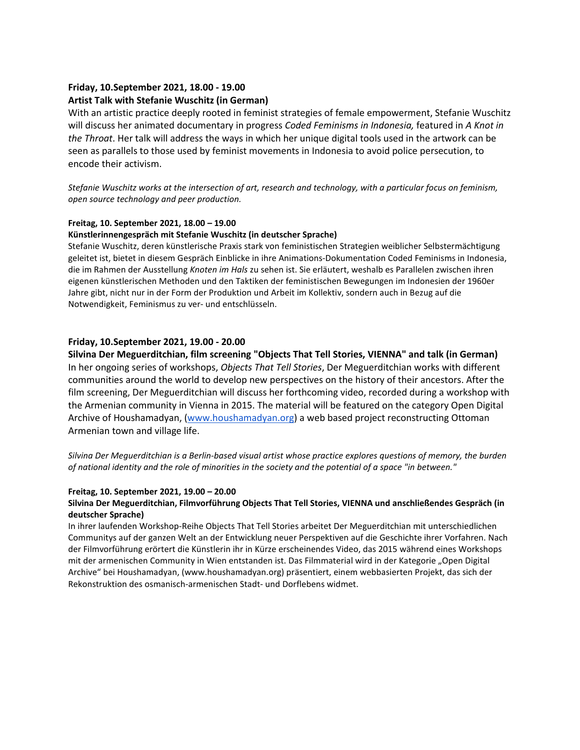# **Friday, 10.September 2021, 18.00 - 19.00**

# **Artist Talk with Stefanie Wuschitz (in German)**

With an artistic practice deeply rooted in feminist strategies of female empowerment, Stefanie Wuschitz will discuss her animated documentary in progress *Coded Feminisms in Indonesia,* featured in *A Knot in the Throat*. Her talk will address the ways in which her unique digital tools used in the artwork can be seen as parallels to those used by feminist movements in Indonesia to avoid police persecution, to encode their activism.

*Stefanie Wuschitz works at the intersection of art, research and technology, with a particular focus on feminism, open source technology and peer production.* 

## **Freitag, 10. September 2021, 18.00 – 19.00**

## **Künstlerinnengespräch mit Stefanie Wuschitz (in deutscher Sprache)**

Stefanie Wuschitz, deren künstlerische Praxis stark von feministischen Strategien weiblicher Selbstermächtigung geleitet ist, bietet in diesem Gespräch Einblicke in ihre Animations-Dokumentation Coded Feminisms in Indonesia, die im Rahmen der Ausstellung *Knoten im Hals* zu sehen ist. Sie erläutert, weshalb es Parallelen zwischen ihren eigenen künstlerischen Methoden und den Taktiken der feministischen Bewegungen im Indonesien der 1960er Jahre gibt, nicht nur in der Form der Produktion und Arbeit im Kollektiv, sondern auch in Bezug auf die Notwendigkeit, Feminismus zu ver- und entschlüsseln.

# **Friday, 10.September 2021, 19.00 - 20.00**

**Silvina Der Meguerditchian, film screening "Objects That Tell Stories, VIENNA" and talk (in German)** In her ongoing series of workshops, *Objects That Tell Stories*, Der Meguerditchian works with different communities around the world to develop new perspectives on the history of their ancestors. After the film screening, Der Meguerditchian will discuss her forthcoming video, recorded during a workshop with the Armenian community in Vienna in 2015. The material will be featured on the category Open Digital Archive of Houshamadyan, [\(www.houshamadyan.org\)](http://www.houshamadyan.org/) a web based project reconstructing Ottoman Armenian town and village life.

*Silvina Der Meguerditchian is a Berlin-based visual artist whose practice explores questions of memory, the burden of national identity and the role of minorities in the society and the potential of a space "in between."*

# **Freitag, 10. September 2021, 19.00 – 20.00**

## **Silvina Der Meguerditchian, Filmvorführung Objects That Tell Stories, VIENNA und anschließendes Gespräch (in deutscher Sprache)**

In ihrer laufenden Workshop-Reihe Objects That Tell Stories arbeitet Der Meguerditchian mit unterschiedlichen Communitys auf der ganzen Welt an der Entwicklung neuer Perspektiven auf die Geschichte ihrer Vorfahren. Nach der Filmvorführung erörtert die Künstlerin ihr in Kürze erscheinendes Video, das 2015 während eines Workshops mit der armenischen Community in Wien entstanden ist. Das Filmmaterial wird in der Kategorie "Open Digital Archive" bei Houshamadyan, (www.houshamadyan.org) präsentiert, einem webbasierten Projekt, das sich der Rekonstruktion des osmanisch-armenischen Stadt- und Dorflebens widmet.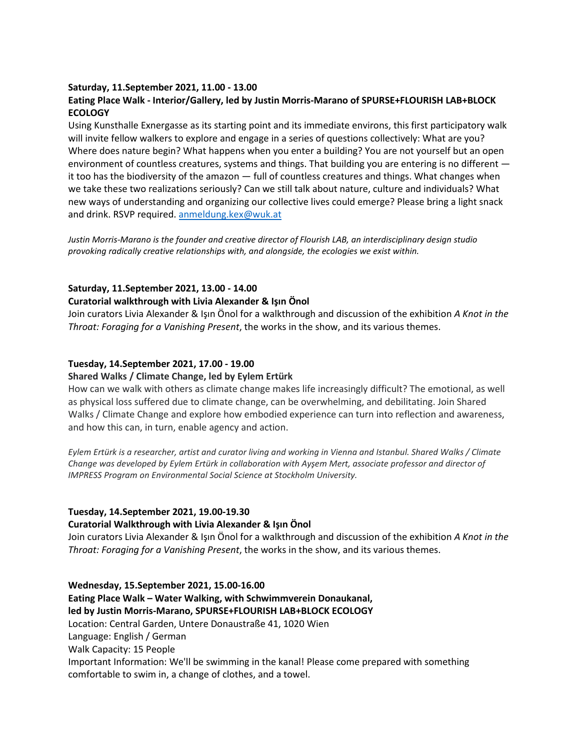# **Saturday, 11.September 2021, 11.00 - 13.00**

# **Eating Place Walk - Interior/Gallery, led by Justin Morris-Marano of SPURSE+FLOURISH LAB+BLOCK ECOLOGY**

Using Kunsthalle Exnergasse as its starting point and its immediate environs, this first participatory walk will invite fellow walkers to explore and engage in a series of questions collectively: What are you? Where does nature begin? What happens when you enter a building? You are not yourself but an open environment of countless creatures, systems and things. That building you are entering is no different it too has the biodiversity of the amazon — full of countless creatures and things. What changes when we take these two realizations seriously? Can we still talk about nature, culture and individuals? What new ways of understanding and organizing our collective lives could emerge? Please bring a light snack and drink. RSVP required[. anmeldung.kex@wuk.at](mailto:anmeldung.kex@wuk.at)

*Justin Morris-Marano is the founder and creative director of Flourish LAB, an interdisciplinary design studio provoking radically creative relationships with, and alongside, the ecologies we exist within.*

## **Saturday, 11.September 2021, 13.00 - 14.00**

#### **Curatorial walkthrough with Livia Alexander & Işın Önol**

Join curators Livia Alexander & Işın Önol for a walkthrough and discussion of the exhibition *A Knot in the Throat: Foraging for a Vanishing Present*, the works in the show, and its various themes.

#### **Tuesday, 14.September 2021, 17.00 - 19.00**

#### **Shared Walks / Climate Change, led by Eylem Ertürk**

How can we walk with others as climate change makes life increasingly difficult? The emotional, as well as physical loss suffered due to climate change, can be overwhelming, and debilitating. Join Shared Walks / Climate Change and explore how embodied experience can turn into reflection and awareness, and how this can, in turn, enable agency and action.

*Eylem Ertürk is a researcher, artist and curator living and working in Vienna and Istanbul. Shared Walks / Climate Change was developed by Eylem Ertürk in collaboration with Ayşem Mert, associate professor and director of IMPRESS Program on Environmental Social Science at Stockholm University.*

#### **Tuesday, 14.September 2021, 19.00-19.30**

#### **Curatorial Walkthrough with Livia Alexander & Işın Önol**

Join curators Livia Alexander & Işın Önol for a walkthrough and discussion of the exhibition *A Knot in the Throat: Foraging for a Vanishing Present*, the works in the show, and its various themes.

#### **Wednesday, 15.September 2021, 15.00-16.00**

**Eating Place Walk – Water Walking, with Schwimmverein Donaukanal, led by Justin Morris-Marano, SPURSE+FLOURISH LAB+BLOCK ECOLOGY** Location: Central Garden, Untere Donaustraße 41, 1020 Wien Language: English / German Walk Capacity: 15 People Important Information: We'll be swimming in the kanal! Please come prepared with something comfortable to swim in, a change of clothes, and a towel.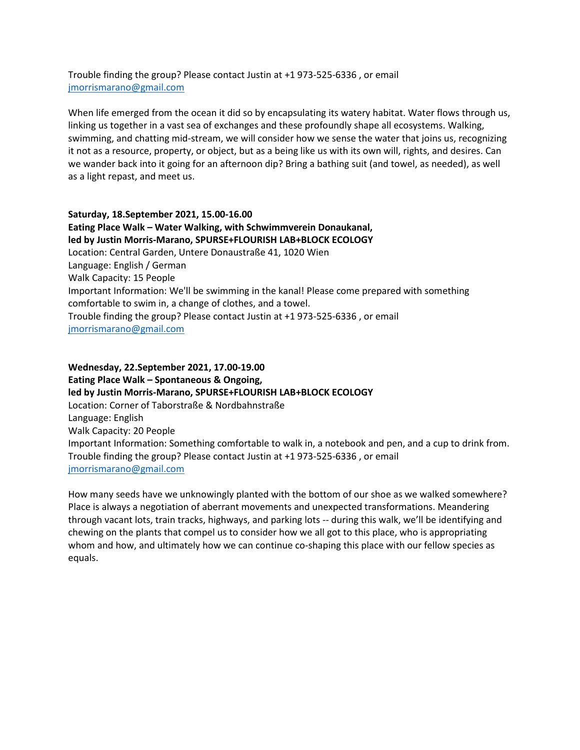Trouble finding the group? Please contact Justin at +1 973-525-6336 , or email [jmorrismarano@gmail.com](mailto:jmorrismarano@gmail.com)

When life emerged from the ocean it did so by encapsulating its watery habitat. Water flows through us, linking us together in a vast sea of exchanges and these profoundly shape all ecosystems. Walking, swimming, and chatting mid-stream, we will consider how we sense the water that joins us, recognizing it not as a resource, property, or object, but as a being like us with its own will, rights, and desires. Can we wander back into it going for an afternoon dip? Bring a bathing suit (and towel, as needed), as well as a light repast, and meet us.

**Saturday, 18.September 2021, 15.00-16.00 Eating Place Walk – Water Walking, with Schwimmverein Donaukanal, led by Justin Morris-Marano, SPURSE+FLOURISH LAB+BLOCK ECOLOGY** Location: Central Garden, Untere Donaustraße 41, 1020 Wien Language: English / German Walk Capacity: 15 People Important Information: We'll be swimming in the kanal! Please come prepared with something comfortable to swim in, a change of clothes, and a towel. Trouble finding the group? Please contact Justin at +1 973-525-6336 , or email [jmorrismarano@gmail.com](mailto:jmorrismarano@gmail.com)

**Wednesday, 22.September 2021, 17.00-19.00 Eating Place Walk – Spontaneous & Ongoing, led by Justin Morris-Marano, SPURSE+FLOURISH LAB+BLOCK ECOLOGY** Location: Corner of Taborstraße & Nordbahnstraße Language: English Walk Capacity: 20 People Important Information: Something comfortable to walk in, a notebook and pen, and a cup to drink from. Trouble finding the group? Please contact Justin at +1 973-525-6336 , or email [jmorrismarano@gmail.com](mailto:jmorrismarano@gmail.com)

How many seeds have we unknowingly planted with the bottom of our shoe as we walked somewhere? Place is always a negotiation of aberrant movements and unexpected transformations. Meandering through vacant lots, train tracks, highways, and parking lots -- during this walk, we'll be identifying and chewing on the plants that compel us to consider how we all got to this place, who is appropriating whom and how, and ultimately how we can continue co-shaping this place with our fellow species as equals.